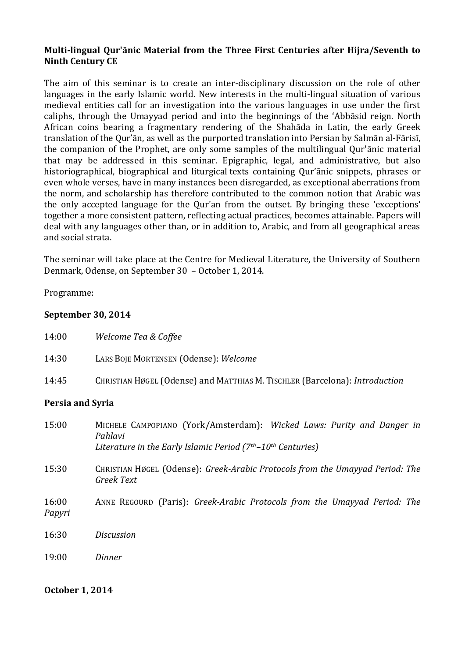# **Multi-lingual Qur'ānic Material from the Three First Centuries after Hijra/Seventh to Ninth Century CE**

The aim of this seminar is to create an inter-disciplinary discussion on the role of other languages in the early Islamic world. New interests in the multi-lingual situation of various medieval entities call for an investigation into the various languages in use under the first caliphs, through the Umayyad period and into the beginnings of the 'Abbāsid reign. North African coins bearing a fragmentary rendering of the Shahāda in Latin, the early Greek translation of the Qur'ān, as well as the purported translation into Persian by Salmān al-Fārisī, the companion of the Prophet, are only some samples of the multilingual Qur'ānic material that may be addressed in this seminar. Epigraphic, legal, and administrative, but also historiographical, biographical and liturgical texts containing Qur'ānic snippets, phrases or even whole verses, have in many instances been disregarded, as exceptional aberrations from the norm, and scholarship has therefore contributed to the common notion that Arabic was the only accepted language for the Qur'an from the outset. By bringing these 'exceptions' together a more consistent pattern, reflecting actual practices, becomes attainable. Papers will deal with any languages other than, or in addition to, Arabic, and from all geographical areas and social strata.

The seminar will take place at the Centre for Medieval Literature, the University of Southern Denmark, Odense, on September 30 – October 1, 2014.

Programme:

## **September 30, 2014**

| 14:00                   | Welcome Tea & Coffee                                                                                                                             |
|-------------------------|--------------------------------------------------------------------------------------------------------------------------------------------------|
| 14:30                   | LARS BOJE MORTENSEN (Odense): Welcome                                                                                                            |
| 14:45                   | CHRISTIAN HØGEL (Odense) and MATTHIAS M. TISCHLER (Barcelona): Introduction                                                                      |
| <b>Persia and Syria</b> |                                                                                                                                                  |
| 15:00                   | MICHELE CAMPOPIANO (York/Amsterdam): Wicked Laws: Purity and Danger in<br>Pahlavi<br>Literature in the Early Islamic Period (7th-10th Centuries) |
| 15:30                   | CHRISTIAN HØGEL (Odense): Greek-Arabic Protocols from the Umayyad Period: The<br><b>Greek Text</b>                                               |

- 16:00 ANNE REGOURD (Paris): *Greek-Arabic Protocols from the Umayyad Period: The Papyri*
- 16:30 *Discussion*
- 19:00 *Dinner*

#### **October 1, 2014**